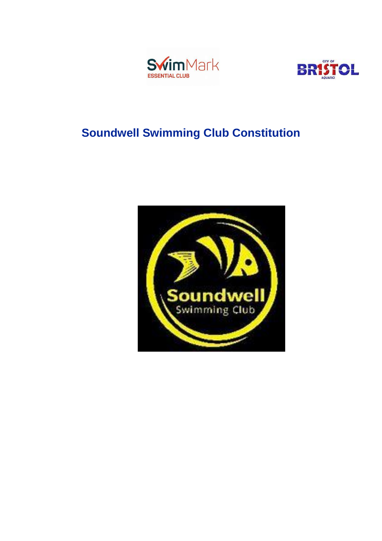



# **Soundwell Swimming Club Constitution**

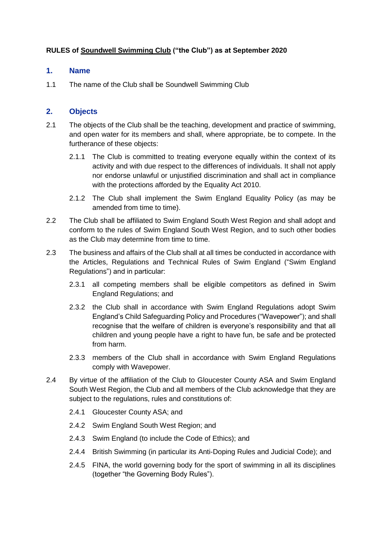## **RULES of Soundwell Swimming Club ("the Club") as at September 2020**

#### **1. Name**

1.1 The name of the Club shall be Soundwell Swimming Club

#### **2. Objects**

- 2.1 The objects of the Club shall be the teaching, development and practice of swimming, and open water for its members and shall, where appropriate, be to compete. In the furtherance of these objects:
	- 2.1.1 The Club is committed to treating everyone equally within the context of its activity and with due respect to the differences of individuals. It shall not apply nor endorse unlawful or unjustified discrimination and shall act in compliance with the protections afforded by the Equality Act 2010.
	- 2.1.2 The Club shall implement the Swim England Equality Policy (as may be amended from time to time).
- 2.2 The Club shall be affiliated to Swim England South West Region and shall adopt and conform to the rules of Swim England South West Region, and to such other bodies as the Club may determine from time to time.
- 2.3 The business and affairs of the Club shall at all times be conducted in accordance with the Articles, Regulations and Technical Rules of Swim England ("Swim England Regulations") and in particular:
	- 2.3.1 all competing members shall be eligible competitors as defined in Swim England Regulations; and
	- 2.3.2 the Club shall in accordance with Swim England Regulations adopt Swim England's Child Safeguarding Policy and Procedures ("Wavepower"); and shall recognise that the welfare of children is everyone's responsibility and that all children and young people have a right to have fun, be safe and be protected from harm.
	- 2.3.3 members of the Club shall in accordance with Swim England Regulations comply with Wavepower.
- 2.4 By virtue of the affiliation of the Club to Gloucester County ASA and Swim England South West Region, the Club and all members of the Club acknowledge that they are subject to the regulations, rules and constitutions of:
	- 2.4.1 Gloucester County ASA; and
	- 2.4.2 Swim England South West Region; and
	- 2.4.3 Swim England (to include the Code of Ethics); and
	- 2.4.4 British Swimming (in particular its Anti-Doping Rules and Judicial Code); and
	- 2.4.5 FINA, the world governing body for the sport of swimming in all its disciplines (together "the Governing Body Rules").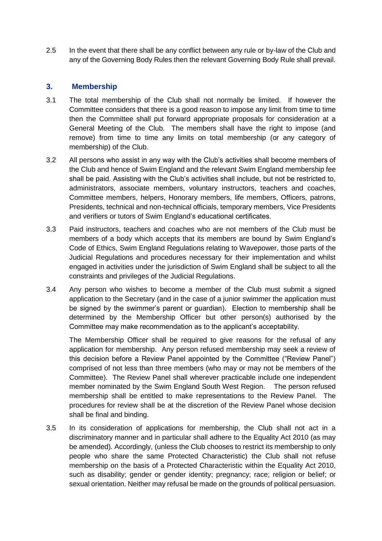2.5 In the event that there shall be any conflict between any rule or by-law of the Club and any of the Governing Body Rules then the relevant Governing Body Rule shall prevail.

#### **3. Membership**

- 3.1 The total membership of the Club shall not normally be limited. If however the Committee considers that there is a good reason to impose any limit from time to time then the Committee shall put forward appropriate proposals for consideration at a General Meeting of the Club. The members shall have the right to impose (and remove) from time to time any limits on total membership (or any category of membership) of the Club.
- 3.2 All persons who assist in any way with the Club's activities shall become members of the Club and hence of Swim England and the relevant Swim England membership fee shall be paid. Assisting with the Club's activities shall include, but not be restricted to, administrators, associate members, voluntary instructors, teachers and coaches, Committee members, helpers, Honorary members, life members, Officers, patrons, Presidents, technical and non-technical officials, temporary members, Vice Presidents and verifiers or tutors of Swim England's educational certificates.
- 3.3 Paid instructors, teachers and coaches who are not members of the Club must be members of a body which accepts that its members are bound by Swim England's Code of Ethics, Swim England Regulations relating to Wavepower, those parts of the Judicial Regulations and procedures necessary for their implementation and whilst engaged in activities under the jurisdiction of Swim England shall be subject to all the constraints and privileges of the Judicial Regulations.
- 3.4 Any person who wishes to become a member of the Club must submit a signed application to the Secretary (and in the case of a junior swimmer the application must be signed by the swimmer's parent or guardian). Election to membership shall be determined by the Membership Officer but other person(s) authorised by the Committee may make recommendation as to the applicant's acceptability.

The Membership Officer shall be required to give reasons for the refusal of any application for membership. Any person refused membership may seek a review of this decision before a Review Panel appointed by the Committee ("Review Panel") comprised of not less than three members (who may or may not be members of the Committee). The Review Panel shall wherever practicable include one independent member nominated by the Swim England South West Region. The person refused membership shall be entitled to make representations to the Review Panel. The procedures for review shall be at the discretion of the Review Panel whose decision shall be final and binding.

3.5 In its consideration of applications for membership, the Club shall not act in a discriminatory manner and in particular shall adhere to the Equality Act 2010 (as may be amended). Accordingly, (unless the Club chooses to restrict its membership to only people who share the same Protected Characteristic) the Club shall not refuse membership on the basis of a Protected Characteristic within the Equality Act 2010, such as disability; gender or gender identity; pregnancy; race; religion or belief; or sexual orientation. Neither may refusal be made on the grounds of political persuasion.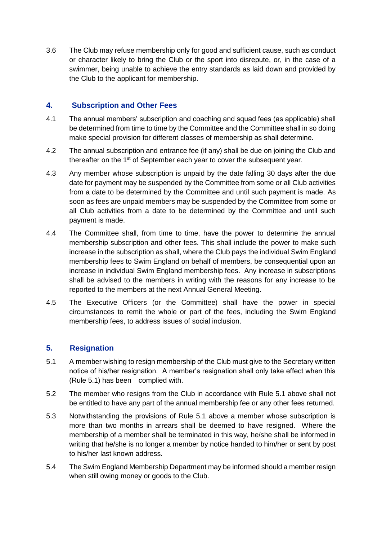3.6 The Club may refuse membership only for good and sufficient cause, such as conduct or character likely to bring the Club or the sport into disrepute, or, in the case of a swimmer, being unable to achieve the entry standards as laid down and provided by the Club to the applicant for membership.

## **4. Subscription and Other Fees**

- 4.1 The annual members' subscription and coaching and squad fees (as applicable) shall be determined from time to time by the Committee and the Committee shall in so doing make special provision for different classes of membership as shall determine.
- 4.2 The annual subscription and entrance fee (if any) shall be due on joining the Club and thereafter on the 1<sup>st</sup> of September each year to cover the subsequent year.
- 4.3 Any member whose subscription is unpaid by the date falling 30 days after the due date for payment may be suspended by the Committee from some or all Club activities from a date to be determined by the Committee and until such payment is made. As soon as fees are unpaid members may be suspended by the Committee from some or all Club activities from a date to be determined by the Committee and until such payment is made.
- 4.4 The Committee shall, from time to time, have the power to determine the annual membership subscription and other fees. This shall include the power to make such increase in the subscription as shall, where the Club pays the individual Swim England membership fees to Swim England on behalf of members, be consequential upon an increase in individual Swim England membership fees. Any increase in subscriptions shall be advised to the members in writing with the reasons for any increase to be reported to the members at the next Annual General Meeting.
- 4.5 The Executive Officers (or the Committee) shall have the power in special circumstances to remit the whole or part of the fees, including the Swim England membership fees, to address issues of social inclusion.

# **5. Resignation**

- 5.1 A member wishing to resign membership of the Club must give to the Secretary written notice of his/her resignation. A member's resignation shall only take effect when this (Rule 5.1) has been complied with.
- 5.2 The member who resigns from the Club in accordance with Rule 5.1 above shall not be entitled to have any part of the annual membership fee or any other fees returned.
- 5.3 Notwithstanding the provisions of Rule 5.1 above a member whose subscription is more than two months in arrears shall be deemed to have resigned. Where the membership of a member shall be terminated in this way, he/she shall be informed in writing that he/she is no longer a member by notice handed to him/her or sent by post to his/her last known address.
- 5.4 The Swim England Membership Department may be informed should a member resign when still owing money or goods to the Club.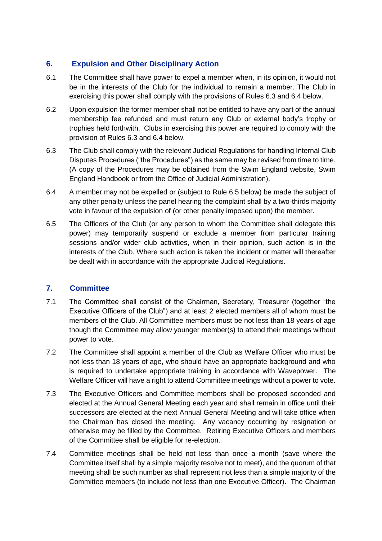# **6. Expulsion and Other Disciplinary Action**

- 6.1 The Committee shall have power to expel a member when, in its opinion, it would not be in the interests of the Club for the individual to remain a member. The Club in exercising this power shall comply with the provisions of Rules 6.3 and 6.4 below.
- 6.2 Upon expulsion the former member shall not be entitled to have any part of the annual membership fee refunded and must return any Club or external body's trophy or trophies held forthwith. Clubs in exercising this power are required to comply with the provision of Rules 6.3 and 6.4 below.
- 6.3 The Club shall comply with the relevant Judicial Regulations for handling Internal Club Disputes Procedures ("the Procedures") as the same may be revised from time to time. (A copy of the Procedures may be obtained from the Swim England website, Swim England Handbook or from the Office of Judicial Administration).
- 6.4 A member may not be expelled or (subject to Rule 6.5 below) be made the subject of any other penalty unless the panel hearing the complaint shall by a two-thirds majority vote in favour of the expulsion of (or other penalty imposed upon) the member.
- 6.5 The Officers of the Club (or any person to whom the Committee shall delegate this power) may temporarily suspend or exclude a member from particular training sessions and/or wider club activities, when in their opinion, such action is in the interests of the Club. Where such action is taken the incident or matter will thereafter be dealt with in accordance with the appropriate Judicial Regulations.

# **7. Committee**

- 7.1 The Committee shall consist of the Chairman, Secretary, Treasurer (together "the Executive Officers of the Club") and at least 2 elected members all of whom must be members of the Club. All Committee members must be not less than 18 years of age though the Committee may allow younger member(s) to attend their meetings without power to vote.
- 7.2 The Committee shall appoint a member of the Club as Welfare Officer who must be not less than 18 years of age, who should have an appropriate background and who is required to undertake appropriate training in accordance with Wavepower. The Welfare Officer will have a right to attend Committee meetings without a power to vote.
- 7.3 The Executive Officers and Committee members shall be proposed seconded and elected at the Annual General Meeting each year and shall remain in office until their successors are elected at the next Annual General Meeting and will take office when the Chairman has closed the meeting. Any vacancy occurring by resignation or otherwise may be filled by the Committee. Retiring Executive Officers and members of the Committee shall be eligible for re-election.
- 7.4 Committee meetings shall be held not less than once a month (save where the Committee itself shall by a simple majority resolve not to meet), and the quorum of that meeting shall be such number as shall represent not less than a simple majority of the Committee members (to include not less than one Executive Officer). The Chairman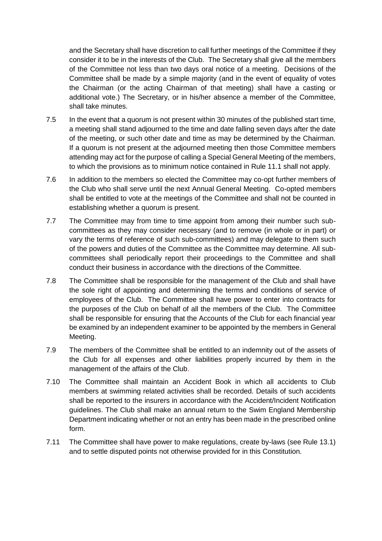and the Secretary shall have discretion to call further meetings of the Committee if they consider it to be in the interests of the Club. The Secretary shall give all the members of the Committee not less than two days oral notice of a meeting. Decisions of the Committee shall be made by a simple majority (and in the event of equality of votes the Chairman (or the acting Chairman of that meeting) shall have a casting or additional vote.) The Secretary, or in his/her absence a member of the Committee, shall take minutes.

- 7.5 In the event that a quorum is not present within 30 minutes of the published start time, a meeting shall stand adjourned to the time and date falling seven days after the date of the meeting, or such other date and time as may be determined by the Chairman. If a quorum is not present at the adjourned meeting then those Committee members attending may act for the purpose of calling a Special General Meeting of the members, to which the provisions as to minimum notice contained in Rule 11.1 shall not apply.
- 7.6 In addition to the members so elected the Committee may co-opt further members of the Club who shall serve until the next Annual General Meeting. Co-opted members shall be entitled to vote at the meetings of the Committee and shall not be counted in establishing whether a quorum is present.
- 7.7 The Committee may from time to time appoint from among their number such subcommittees as they may consider necessary (and to remove (in whole or in part) or vary the terms of reference of such sub-committees) and may delegate to them such of the powers and duties of the Committee as the Committee may determine. All subcommittees shall periodically report their proceedings to the Committee and shall conduct their business in accordance with the directions of the Committee.
- 7.8 The Committee shall be responsible for the management of the Club and shall have the sole right of appointing and determining the terms and conditions of service of employees of the Club. The Committee shall have power to enter into contracts for the purposes of the Club on behalf of all the members of the Club. The Committee shall be responsible for ensuring that the Accounts of the Club for each financial year be examined by an independent examiner to be appointed by the members in General Meeting.
- 7.9 The members of the Committee shall be entitled to an indemnity out of the assets of the Club for all expenses and other liabilities properly incurred by them in the management of the affairs of the Club.
- 7.10 The Committee shall maintain an Accident Book in which all accidents to Club members at swimming related activities shall be recorded. Details of such accidents shall be reported to the insurers in accordance with the Accident/Incident Notification guidelines. The Club shall make an annual return to the Swim England Membership Department indicating whether or not an entry has been made in the prescribed online form.
- 7.11 The Committee shall have power to make regulations, create by-laws (see Rule 13.1) and to settle disputed points not otherwise provided for in this Constitution.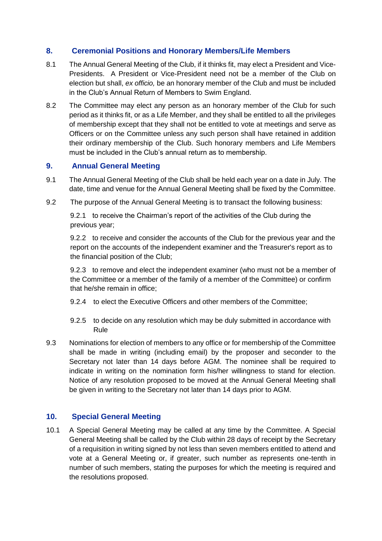## **8. Ceremonial Positions and Honorary Members/Life Members**

- 8.1 The Annual General Meeting of the Club, if it thinks fit, may elect a President and Vice-Presidents. A President or Vice-President need not be a member of the Club on election but shall, *ex officio,* be an honorary member of the Club and must be included in the Club's Annual Return of Members to Swim England.
- 8.2 The Committee may elect any person as an honorary member of the Club for such period as it thinks fit, or as a Life Member, and they shall be entitled to all the privileges of membership except that they shall not be entitled to vote at meetings and serve as Officers or on the Committee unless any such person shall have retained in addition their ordinary membership of the Club. Such honorary members and Life Members must be included in the Club's annual return as to membership.

#### **9. Annual General Meeting**

- 9.1 The Annual General Meeting of the Club shall be held each year on a date in July*.* The date, time and venue for the Annual General Meeting shall be fixed by the Committee.
- 9.2 The purpose of the Annual General Meeting is to transact the following business:

9.2.1 to receive the Chairman's report of the activities of the Club during the previous year;

9.2.2 to receive and consider the accounts of the Club for the previous year and the report on the accounts of the independent examiner and the Treasurer's report as to the financial position of the Club;

9.2.3 to remove and elect the independent examiner (who must not be a member of the Committee or a member of the family of a member of the Committee) or confirm that he/she remain in office;

- 9.2.4 to elect the Executive Officers and other members of the Committee;
- 9.2.5 to decide on any resolution which may be duly submitted in accordance with Rule
- 9.3 Nominations for election of members to any office or for membership of the Committee shall be made in writing (including email) by the proposer and seconder to the Secretary not later than 14 days before AGM. The nominee shall be required to indicate in writing on the nomination form his/her willingness to stand for election. Notice of any resolution proposed to be moved at the Annual General Meeting shall be given in writing to the Secretary not later than 14 days prior to AGM.

#### **10. Special General Meeting**

10.1 A Special General Meeting may be called at any time by the Committee. A Special General Meeting shall be called by the Club within 28 days of receipt by the Secretary of a requisition in writing signed by not less than seven members entitled to attend and vote at a General Meeting or, if greater, such number as represents one-tenth in number of such members, stating the purposes for which the meeting is required and the resolutions proposed.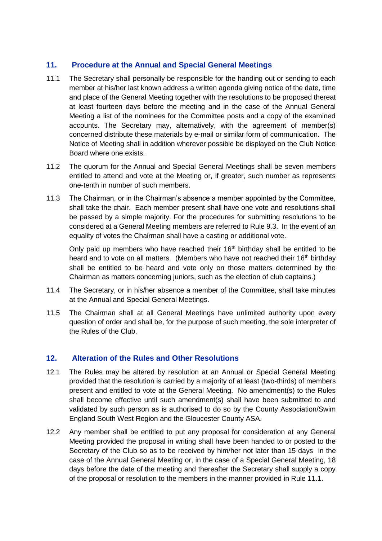# **11. Procedure at the Annual and Special General Meetings**

- 11.1 The Secretary shall personally be responsible for the handing out or sending to each member at his/her last known address a written agenda giving notice of the date, time and place of the General Meeting together with the resolutions to be proposed thereat at least fourteen days before the meeting and in the case of the Annual General Meeting a list of the nominees for the Committee posts and a copy of the examined accounts. The Secretary may, alternatively, with the agreement of member(s) concerned distribute these materials by e-mail or similar form of communication. The Notice of Meeting shall in addition wherever possible be displayed on the Club Notice Board where one exists.
- 11.2 The quorum for the Annual and Special General Meetings shall be seven members entitled to attend and vote at the Meeting or, if greater, such number as represents one-tenth in number of such members.
- 11.3 The Chairman, or in the Chairman's absence a member appointed by the Committee, shall take the chair. Each member present shall have one vote and resolutions shall be passed by a simple majority. For the procedures for submitting resolutions to be considered at a General Meeting members are referred to Rule 9.3. In the event of an equality of votes the Chairman shall have a casting or additional vote.

Only paid up members who have reached their  $16<sup>th</sup>$  birthday shall be entitled to be heard and to vote on all matters. (Members who have not reached their 16<sup>th</sup> birthday shall be entitled to be heard and vote only on those matters determined by the Chairman as matters concerning juniors, such as the election of club captains.)

- 11.4 The Secretary, or in his/her absence a member of the Committee, shall take minutes at the Annual and Special General Meetings.
- 11.5 The Chairman shall at all General Meetings have unlimited authority upon every question of order and shall be, for the purpose of such meeting, the sole interpreter of the Rules of the Club.

#### **12. Alteration of the Rules and Other Resolutions**

- 12.1 The Rules may be altered by resolution at an Annual or Special General Meeting provided that the resolution is carried by a majority of at least (two-thirds) of members present and entitled to vote at the General Meeting. No amendment(s) to the Rules shall become effective until such amendment(s) shall have been submitted to and validated by such person as is authorised to do so by the County Association/Swim England South West Region and the Gloucester County ASA.
- 12.2 Any member shall be entitled to put any proposal for consideration at any General Meeting provided the proposal in writing shall have been handed to or posted to the Secretary of the Club so as to be received by him/her not later than 15 days in the case of the Annual General Meeting or, in the case of a Special General Meeting, 18 days before the date of the meeting and thereafter the Secretary shall supply a copy of the proposal or resolution to the members in the manner provided in Rule 11.1.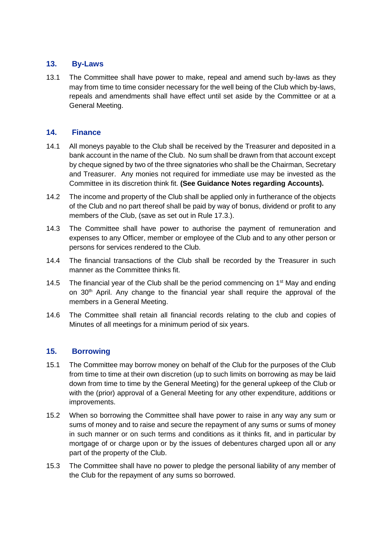## **13. By-Laws**

13.1 The Committee shall have power to make, repeal and amend such by-laws as they may from time to time consider necessary for the well being of the Club which by-laws, repeals and amendments shall have effect until set aside by the Committee or at a General Meeting.

#### **14. Finance**

- 14.1 All moneys payable to the Club shall be received by the Treasurer and deposited in a bank account in the name of the Club. No sum shall be drawn from that account except by cheque signed by two of the three signatories who shall be the Chairman, Secretary and Treasurer. Any monies not required for immediate use may be invested as the Committee in its discretion think fit. **(See Guidance Notes regarding Accounts).**
- 14.2 The income and property of the Club shall be applied only in furtherance of the objects of the Club and no part thereof shall be paid by way of bonus, dividend or profit to any members of the Club, (save as set out in Rule 17.3.).
- 14.3 The Committee shall have power to authorise the payment of remuneration and expenses to any Officer, member or employee of the Club and to any other person or persons for services rendered to the Club.
- 14.4 The financial transactions of the Club shall be recorded by the Treasurer in such manner as the Committee thinks fit.
- 14.5 The financial year of the Club shall be the period commencing on  $1<sup>st</sup>$  May and ending on 30th April. Any change to the financial year shall require the approval of the members in a General Meeting.
- 14.6 The Committee shall retain all financial records relating to the club and copies of Minutes of all meetings for a minimum period of six years.

# **15. Borrowing**

- 15.1 The Committee may borrow money on behalf of the Club for the purposes of the Club from time to time at their own discretion (up to such limits on borrowing as may be laid down from time to time by the General Meeting) for the general upkeep of the Club or with the (prior) approval of a General Meeting for any other expenditure, additions or improvements.
- 15.2 When so borrowing the Committee shall have power to raise in any way any sum or sums of money and to raise and secure the repayment of any sums or sums of money in such manner or on such terms and conditions as it thinks fit, and in particular by mortgage of or charge upon or by the issues of debentures charged upon all or any part of the property of the Club.
- 15.3 The Committee shall have no power to pledge the personal liability of any member of the Club for the repayment of any sums so borrowed.